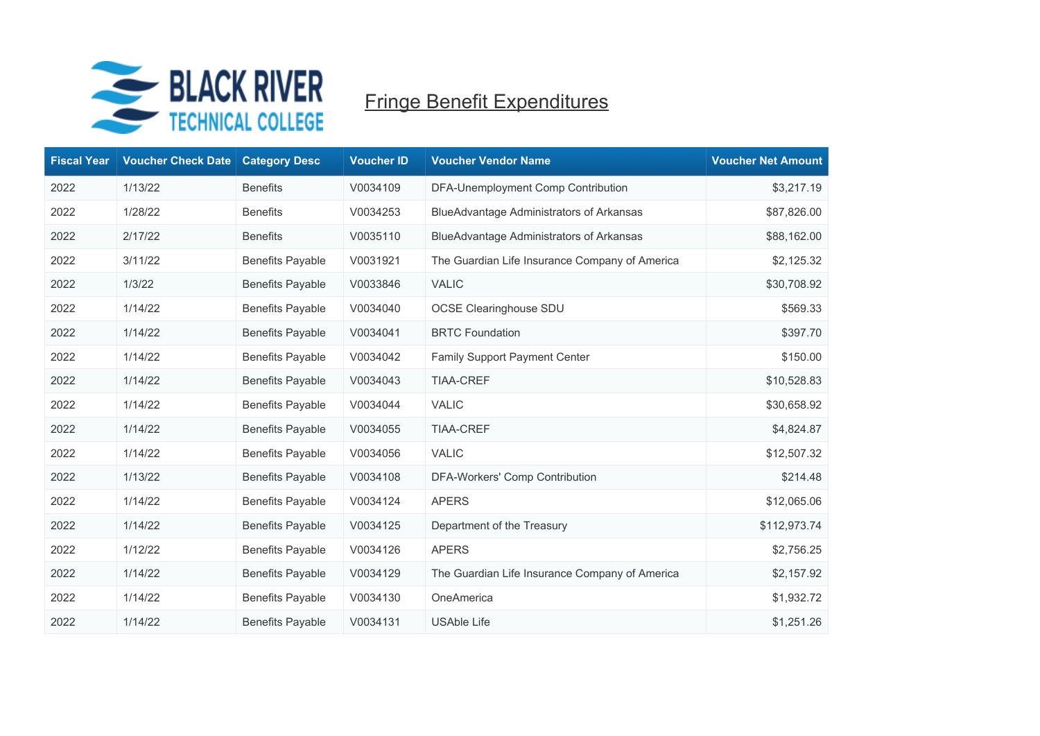

| <b>Fiscal Year</b> | <b>Voucher Check Date</b> | <b>Category Desc</b>    | <b>Voucher ID</b> | <b>Voucher Vendor Name</b>                      | <b>Voucher Net Amount</b> |
|--------------------|---------------------------|-------------------------|-------------------|-------------------------------------------------|---------------------------|
| 2022               | 1/13/22                   | <b>Benefits</b>         | V0034109          | DFA-Unemployment Comp Contribution              | \$3,217.19                |
| 2022               | 1/28/22                   | <b>Benefits</b>         | V0034253          | <b>BlueAdvantage Administrators of Arkansas</b> | \$87,826.00               |
| 2022               | 2/17/22                   | <b>Benefits</b>         | V0035110          | BlueAdvantage Administrators of Arkansas        | \$88,162.00               |
| 2022               | 3/11/22                   | <b>Benefits Payable</b> | V0031921          | The Guardian Life Insurance Company of America  | \$2,125.32                |
| 2022               | 1/3/22                    | <b>Benefits Payable</b> | V0033846          | <b>VALIC</b>                                    | \$30,708.92               |
| 2022               | 1/14/22                   | <b>Benefits Payable</b> | V0034040          | <b>OCSE Clearinghouse SDU</b>                   | \$569.33                  |
| 2022               | 1/14/22                   | <b>Benefits Payable</b> | V0034041          | <b>BRTC Foundation</b>                          | \$397.70                  |
| 2022               | 1/14/22                   | <b>Benefits Payable</b> | V0034042          | Family Support Payment Center                   | \$150.00                  |
| 2022               | 1/14/22                   | <b>Benefits Payable</b> | V0034043          | <b>TIAA-CREF</b>                                | \$10,528.83               |
| 2022               | 1/14/22                   | <b>Benefits Payable</b> | V0034044          | <b>VALIC</b>                                    | \$30,658.92               |
| 2022               | 1/14/22                   | <b>Benefits Payable</b> | V0034055          | <b>TIAA-CREF</b>                                | \$4,824.87                |
| 2022               | 1/14/22                   | <b>Benefits Payable</b> | V0034056          | <b>VALIC</b>                                    | \$12,507.32               |
| 2022               | 1/13/22                   | <b>Benefits Payable</b> | V0034108          | DFA-Workers' Comp Contribution                  | \$214.48                  |
| 2022               | 1/14/22                   | <b>Benefits Payable</b> | V0034124          | <b>APERS</b>                                    | \$12,065.06               |
| 2022               | 1/14/22                   | <b>Benefits Payable</b> | V0034125          | Department of the Treasury                      | \$112,973.74              |
| 2022               | 1/12/22                   | <b>Benefits Payable</b> | V0034126          | <b>APERS</b>                                    | \$2,756.25                |
| 2022               | 1/14/22                   | <b>Benefits Payable</b> | V0034129          | The Guardian Life Insurance Company of America  | \$2,157.92                |
| 2022               | 1/14/22                   | <b>Benefits Payable</b> | V0034130          | OneAmerica                                      | \$1,932.72                |
| 2022               | 1/14/22                   | <b>Benefits Payable</b> | V0034131          | <b>USAble Life</b>                              | \$1,251.26                |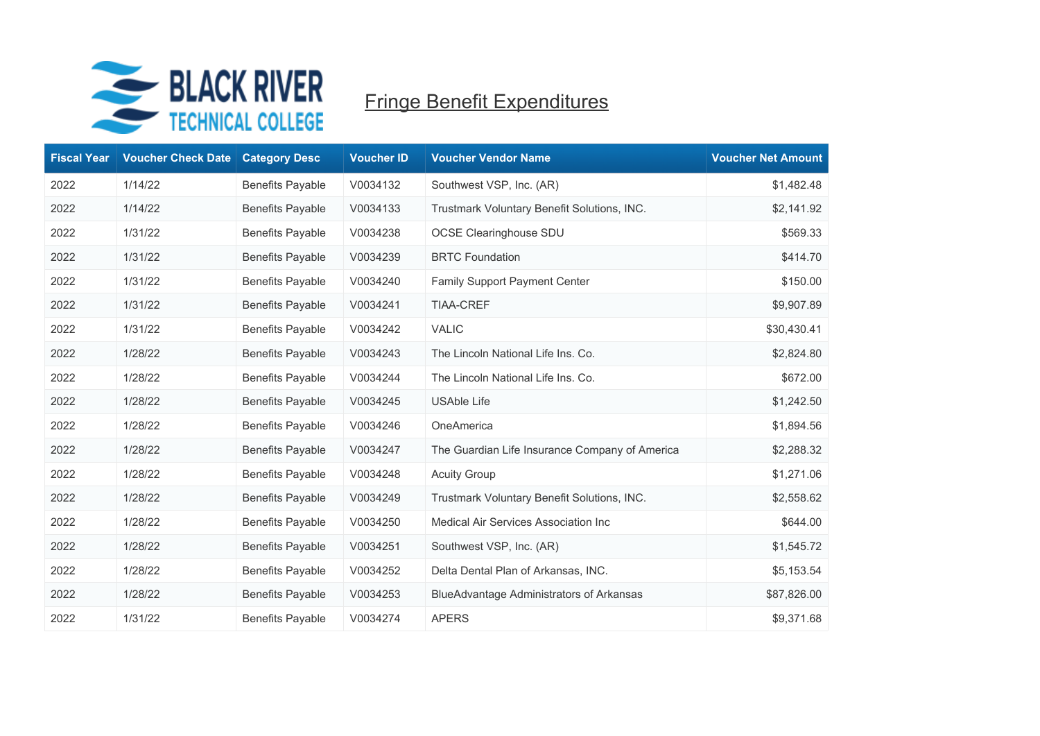

| <b>Fiscal Year</b> | <b>Voucher Check Date</b> | <b>Category Desc</b>    | <b>Voucher ID</b> | <b>Voucher Vendor Name</b>                      | <b>Voucher Net Amount</b> |
|--------------------|---------------------------|-------------------------|-------------------|-------------------------------------------------|---------------------------|
| 2022               | 1/14/22                   | <b>Benefits Payable</b> | V0034132          | Southwest VSP, Inc. (AR)                        | \$1,482.48                |
| 2022               | 1/14/22                   | <b>Benefits Payable</b> | V0034133          | Trustmark Voluntary Benefit Solutions, INC.     | \$2,141.92                |
| 2022               | 1/31/22                   | <b>Benefits Payable</b> | V0034238          | <b>OCSE Clearinghouse SDU</b>                   | \$569.33                  |
| 2022               | 1/31/22                   | <b>Benefits Payable</b> | V0034239          | <b>BRTC Foundation</b>                          | \$414.70                  |
| 2022               | 1/31/22                   | <b>Benefits Payable</b> | V0034240          | Family Support Payment Center                   | \$150.00                  |
| 2022               | 1/31/22                   | <b>Benefits Payable</b> | V0034241          | <b>TIAA-CREF</b>                                | \$9,907.89                |
| 2022               | 1/31/22                   | <b>Benefits Payable</b> | V0034242          | <b>VALIC</b>                                    | \$30,430.41               |
| 2022               | 1/28/22                   | <b>Benefits Payable</b> | V0034243          | The Lincoln National Life Ins. Co.              | \$2,824.80                |
| 2022               | 1/28/22                   | <b>Benefits Payable</b> | V0034244          | The Lincoln National Life Ins. Co.              | \$672.00                  |
| 2022               | 1/28/22                   | <b>Benefits Payable</b> | V0034245          | <b>USAble Life</b>                              | \$1,242.50                |
| 2022               | 1/28/22                   | <b>Benefits Payable</b> | V0034246          | OneAmerica                                      | \$1,894.56                |
| 2022               | 1/28/22                   | <b>Benefits Payable</b> | V0034247          | The Guardian Life Insurance Company of America  | \$2,288.32                |
| 2022               | 1/28/22                   | <b>Benefits Payable</b> | V0034248          | <b>Acuity Group</b>                             | \$1,271.06                |
| 2022               | 1/28/22                   | <b>Benefits Payable</b> | V0034249          | Trustmark Voluntary Benefit Solutions, INC.     | \$2,558.62                |
| 2022               | 1/28/22                   | <b>Benefits Payable</b> | V0034250          | Medical Air Services Association Inc            | \$644.00                  |
| 2022               | 1/28/22                   | <b>Benefits Payable</b> | V0034251          | Southwest VSP, Inc. (AR)                        | \$1,545.72                |
| 2022               | 1/28/22                   | <b>Benefits Payable</b> | V0034252          | Delta Dental Plan of Arkansas, INC.             | \$5,153.54                |
| 2022               | 1/28/22                   | <b>Benefits Payable</b> | V0034253          | <b>BlueAdvantage Administrators of Arkansas</b> | \$87,826.00               |
| 2022               | 1/31/22                   | <b>Benefits Payable</b> | V0034274          | <b>APERS</b>                                    | \$9,371.68                |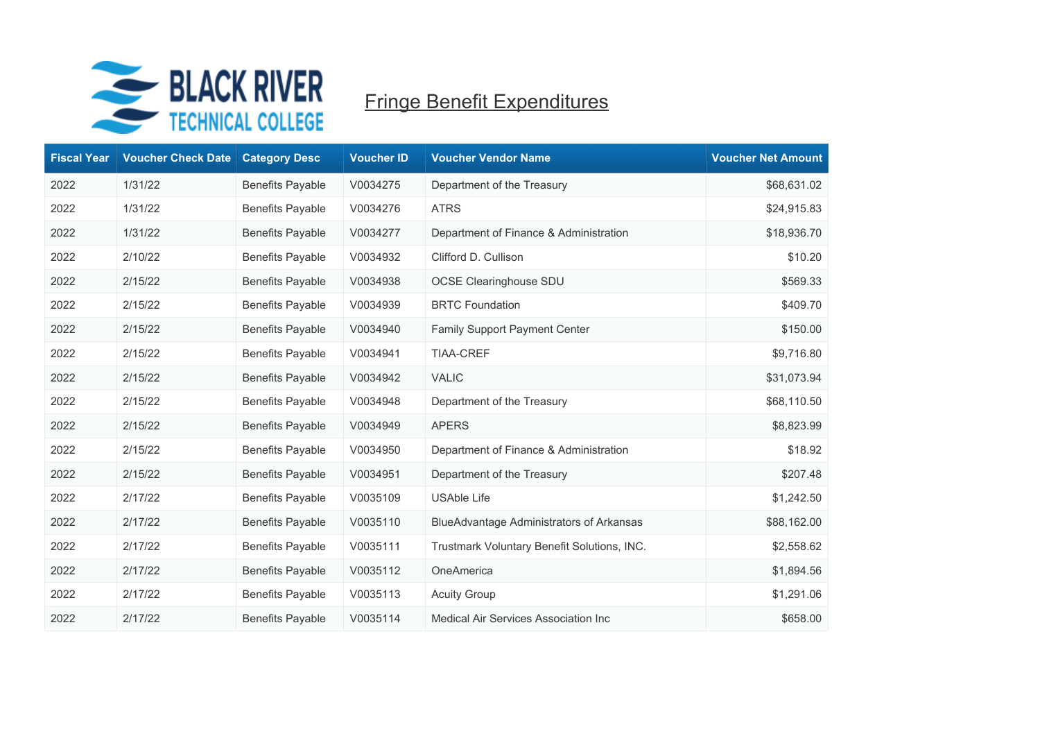

| <b>Fiscal Year</b> | <b>Voucher Check Date</b> | <b>Category Desc</b>    | <b>Voucher ID</b> | <b>Voucher Vendor Name</b>                      | <b>Voucher Net Amount</b> |
|--------------------|---------------------------|-------------------------|-------------------|-------------------------------------------------|---------------------------|
| 2022               | 1/31/22                   | <b>Benefits Payable</b> | V0034275          | Department of the Treasury                      | \$68,631.02               |
| 2022               | 1/31/22                   | <b>Benefits Payable</b> | V0034276          | <b>ATRS</b>                                     | \$24,915.83               |
| 2022               | 1/31/22                   | <b>Benefits Payable</b> | V0034277          | Department of Finance & Administration          | \$18,936.70               |
| 2022               | 2/10/22                   | <b>Benefits Payable</b> | V0034932          | Clifford D. Cullison                            | \$10.20                   |
| 2022               | 2/15/22                   | <b>Benefits Payable</b> | V0034938          | <b>OCSE Clearinghouse SDU</b>                   | \$569.33                  |
| 2022               | 2/15/22                   | <b>Benefits Payable</b> | V0034939          | <b>BRTC Foundation</b>                          | \$409.70                  |
| 2022               | 2/15/22                   | <b>Benefits Payable</b> | V0034940          | Family Support Payment Center                   | \$150.00                  |
| 2022               | 2/15/22                   | <b>Benefits Payable</b> | V0034941          | <b>TIAA-CREF</b>                                | \$9,716.80                |
| 2022               | 2/15/22                   | <b>Benefits Payable</b> | V0034942          | <b>VALIC</b>                                    | \$31,073.94               |
| 2022               | 2/15/22                   | <b>Benefits Payable</b> | V0034948          | Department of the Treasury                      | \$68,110.50               |
| 2022               | 2/15/22                   | <b>Benefits Payable</b> | V0034949          | <b>APERS</b>                                    | \$8,823.99                |
| 2022               | 2/15/22                   | <b>Benefits Payable</b> | V0034950          | Department of Finance & Administration          | \$18.92                   |
| 2022               | 2/15/22                   | <b>Benefits Payable</b> | V0034951          | Department of the Treasury                      | \$207.48                  |
| 2022               | 2/17/22                   | <b>Benefits Payable</b> | V0035109          | <b>USAble Life</b>                              | \$1,242.50                |
| 2022               | 2/17/22                   | <b>Benefits Payable</b> | V0035110          | <b>BlueAdvantage Administrators of Arkansas</b> | \$88,162.00               |
| 2022               | 2/17/22                   | <b>Benefits Payable</b> | V0035111          | Trustmark Voluntary Benefit Solutions, INC.     | \$2,558.62                |
| 2022               | 2/17/22                   | <b>Benefits Payable</b> | V0035112          | OneAmerica                                      | \$1,894.56                |
| 2022               | 2/17/22                   | <b>Benefits Payable</b> | V0035113          | <b>Acuity Group</b>                             | \$1,291.06                |
| 2022               | 2/17/22                   | <b>Benefits Payable</b> | V0035114          | Medical Air Services Association Inc            | \$658.00                  |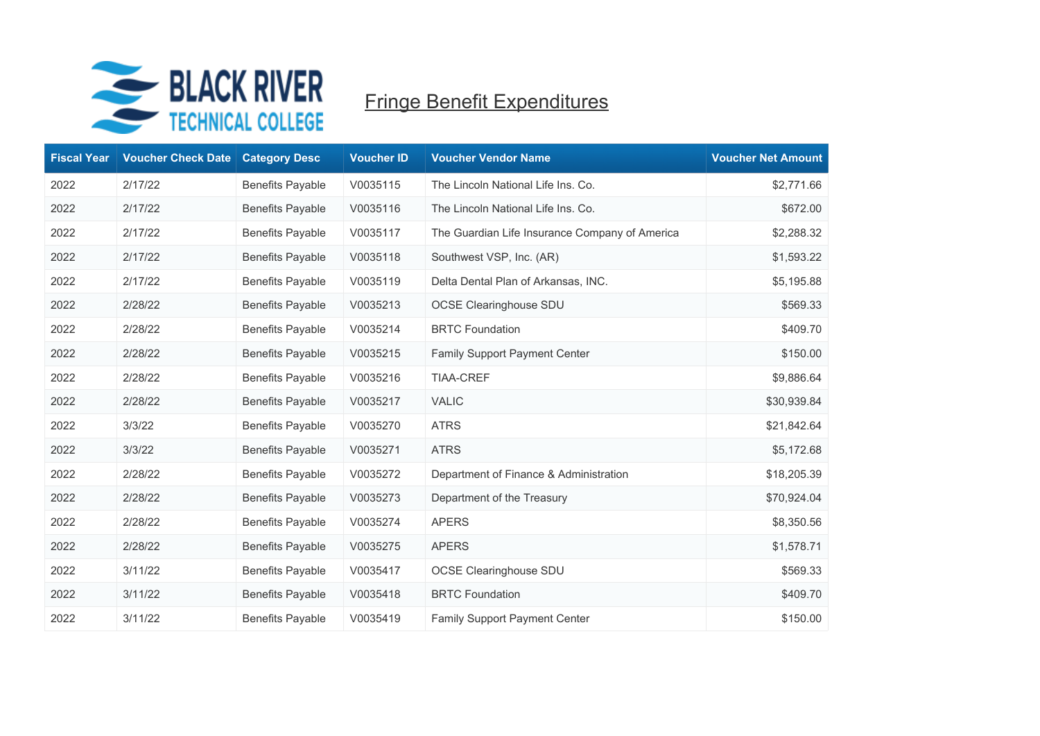

| <b>Fiscal Year</b> | <b>Voucher Check Date</b> | <b>Category Desc</b>    | <b>Voucher ID</b> | <b>Voucher Vendor Name</b>                     | <b>Voucher Net Amount</b> |
|--------------------|---------------------------|-------------------------|-------------------|------------------------------------------------|---------------------------|
| 2022               | 2/17/22                   | <b>Benefits Payable</b> | V0035115          | The Lincoln National Life Ins. Co.             | \$2,771.66                |
| 2022               | 2/17/22                   | <b>Benefits Payable</b> | V0035116          | The Lincoln National Life Ins. Co.             | \$672.00                  |
| 2022               | 2/17/22                   | <b>Benefits Payable</b> | V0035117          | The Guardian Life Insurance Company of America | \$2,288.32                |
| 2022               | 2/17/22                   | <b>Benefits Payable</b> | V0035118          | Southwest VSP, Inc. (AR)                       | \$1,593.22                |
| 2022               | 2/17/22                   | <b>Benefits Payable</b> | V0035119          | Delta Dental Plan of Arkansas, INC.            | \$5,195.88                |
| 2022               | 2/28/22                   | <b>Benefits Payable</b> | V0035213          | <b>OCSE Clearinghouse SDU</b>                  | \$569.33                  |
| 2022               | 2/28/22                   | <b>Benefits Payable</b> | V0035214          | <b>BRTC Foundation</b>                         | \$409.70                  |
| 2022               | 2/28/22                   | <b>Benefits Payable</b> | V0035215          | <b>Family Support Payment Center</b>           | \$150.00                  |
| 2022               | 2/28/22                   | <b>Benefits Payable</b> | V0035216          | TIAA-CREF                                      | \$9,886.64                |
| 2022               | 2/28/22                   | <b>Benefits Payable</b> | V0035217          | <b>VALIC</b>                                   | \$30,939.84               |
| 2022               | 3/3/22                    | <b>Benefits Payable</b> | V0035270          | <b>ATRS</b>                                    | \$21,842.64               |
| 2022               | 3/3/22                    | <b>Benefits Payable</b> | V0035271          | <b>ATRS</b>                                    | \$5,172.68                |
| 2022               | 2/28/22                   | <b>Benefits Payable</b> | V0035272          | Department of Finance & Administration         | \$18,205.39               |
| 2022               | 2/28/22                   | <b>Benefits Payable</b> | V0035273          | Department of the Treasury                     | \$70,924.04               |
| 2022               | 2/28/22                   | <b>Benefits Payable</b> | V0035274          | <b>APERS</b>                                   | \$8,350.56                |
| 2022               | 2/28/22                   | <b>Benefits Payable</b> | V0035275          | <b>APERS</b>                                   | \$1,578.71                |
| 2022               | 3/11/22                   | <b>Benefits Payable</b> | V0035417          | <b>OCSE Clearinghouse SDU</b>                  | \$569.33                  |
| 2022               | 3/11/22                   | <b>Benefits Payable</b> | V0035418          | <b>BRTC Foundation</b>                         | \$409.70                  |
| 2022               | 3/11/22                   | <b>Benefits Payable</b> | V0035419          | Family Support Payment Center                  | \$150.00                  |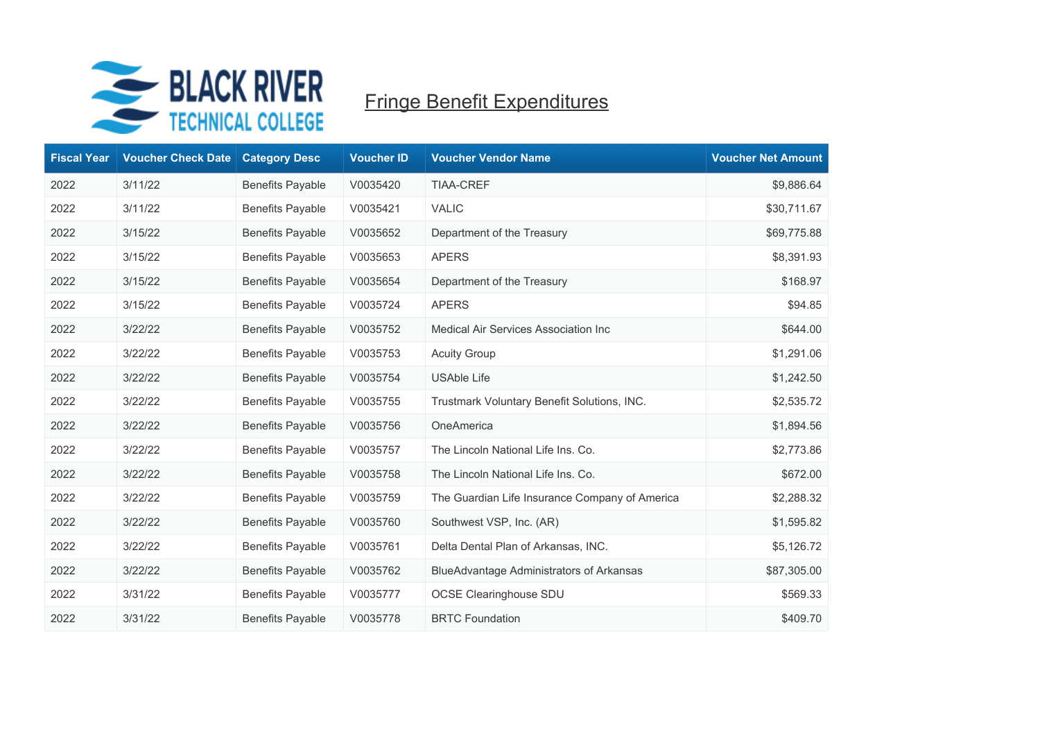

| <b>Fiscal Year</b> | <b>Voucher Check Date</b> | <b>Category Desc</b>    | <b>Voucher ID</b> | <b>Voucher Vendor Name</b>                      | <b>Voucher Net Amount</b> |
|--------------------|---------------------------|-------------------------|-------------------|-------------------------------------------------|---------------------------|
| 2022               | 3/11/22                   | <b>Benefits Payable</b> | V0035420          | <b>TIAA-CREF</b>                                | \$9,886.64                |
| 2022               | 3/11/22                   | <b>Benefits Payable</b> | V0035421          | <b>VALIC</b>                                    | \$30,711.67               |
| 2022               | 3/15/22                   | <b>Benefits Payable</b> | V0035652          | Department of the Treasury                      | \$69,775.88               |
| 2022               | 3/15/22                   | <b>Benefits Payable</b> | V0035653          | <b>APERS</b>                                    | \$8,391.93                |
| 2022               | 3/15/22                   | <b>Benefits Payable</b> | V0035654          | Department of the Treasury                      | \$168.97                  |
| 2022               | 3/15/22                   | <b>Benefits Payable</b> | V0035724          | <b>APERS</b>                                    | \$94.85                   |
| 2022               | 3/22/22                   | <b>Benefits Payable</b> | V0035752          | Medical Air Services Association Inc            | \$644.00                  |
| 2022               | 3/22/22                   | <b>Benefits Payable</b> | V0035753          | <b>Acuity Group</b>                             | \$1,291.06                |
| 2022               | 3/22/22                   | <b>Benefits Payable</b> | V0035754          | <b>USAble Life</b>                              | \$1,242.50                |
| 2022               | 3/22/22                   | <b>Benefits Payable</b> | V0035755          | Trustmark Voluntary Benefit Solutions, INC.     | \$2,535.72                |
| 2022               | 3/22/22                   | <b>Benefits Payable</b> | V0035756          | OneAmerica                                      | \$1,894.56                |
| 2022               | 3/22/22                   | <b>Benefits Payable</b> | V0035757          | The Lincoln National Life Ins. Co.              | \$2,773.86                |
| 2022               | 3/22/22                   | <b>Benefits Payable</b> | V0035758          | The Lincoln National Life Ins. Co.              | \$672.00                  |
| 2022               | 3/22/22                   | <b>Benefits Payable</b> | V0035759          | The Guardian Life Insurance Company of America  | \$2,288.32                |
| 2022               | 3/22/22                   | <b>Benefits Payable</b> | V0035760          | Southwest VSP, Inc. (AR)                        | \$1,595.82                |
| 2022               | 3/22/22                   | <b>Benefits Payable</b> | V0035761          | Delta Dental Plan of Arkansas, INC.             | \$5,126.72                |
| 2022               | 3/22/22                   | <b>Benefits Payable</b> | V0035762          | <b>BlueAdvantage Administrators of Arkansas</b> | \$87,305.00               |
| 2022               | 3/31/22                   | <b>Benefits Payable</b> | V0035777          | <b>OCSE Clearinghouse SDU</b>                   | \$569.33                  |
| 2022               | 3/31/22                   | <b>Benefits Payable</b> | V0035778          | <b>BRTC Foundation</b>                          | \$409.70                  |